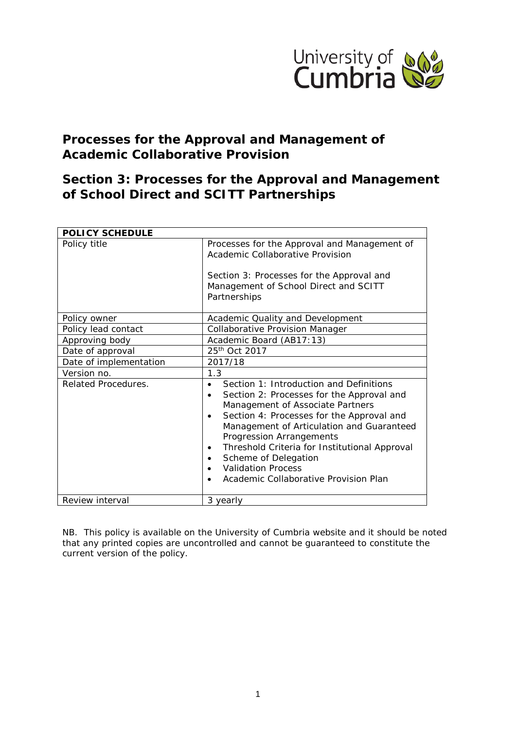

# **Processes for the Approval and Management of Academic Collaborative Provision**

# **Section 3: Processes for the Approval and Management of School Direct and SCITT Partnerships**

| <b>POLICY SCHEDULE</b> |                                                                                                                                                                                                                                                                                                                                                                                                                                                   |  |  |
|------------------------|---------------------------------------------------------------------------------------------------------------------------------------------------------------------------------------------------------------------------------------------------------------------------------------------------------------------------------------------------------------------------------------------------------------------------------------------------|--|--|
| Policy title           | Processes for the Approval and Management of<br>Academic Collaborative Provision                                                                                                                                                                                                                                                                                                                                                                  |  |  |
|                        | Section 3: Processes for the Approval and<br>Management of School Direct and SCITT<br>Partnerships                                                                                                                                                                                                                                                                                                                                                |  |  |
| Policy owner           | Academic Quality and Development                                                                                                                                                                                                                                                                                                                                                                                                                  |  |  |
| Policy lead contact    | <b>Collaborative Provision Manager</b>                                                                                                                                                                                                                                                                                                                                                                                                            |  |  |
| Approving body         | Academic Board (AB17:13)                                                                                                                                                                                                                                                                                                                                                                                                                          |  |  |
| Date of approval       | 25 <sup>th</sup> Oct 2017                                                                                                                                                                                                                                                                                                                                                                                                                         |  |  |
| Date of implementation | 2017/18                                                                                                                                                                                                                                                                                                                                                                                                                                           |  |  |
| Version no.            | 1.3                                                                                                                                                                                                                                                                                                                                                                                                                                               |  |  |
| Related Procedures.    | Section 1: Introduction and Definitions<br>$\bullet$<br>Section 2: Processes for the Approval and<br>$\bullet$<br>Management of Associate Partners<br>Section 4: Processes for the Approval and<br>$\bullet$<br>Management of Articulation and Guaranteed<br>Progression Arrangements<br>Threshold Criteria for Institutional Approval<br>$\bullet$<br>Scheme of Delegation<br><b>Validation Process</b><br>Academic Collaborative Provision Plan |  |  |
| Review interval        | 3 yearly                                                                                                                                                                                                                                                                                                                                                                                                                                          |  |  |

*NB. This policy is available on the University of Cumbria website and it should be noted that any printed copies are uncontrolled and cannot be guaranteed to constitute the current version of the policy.*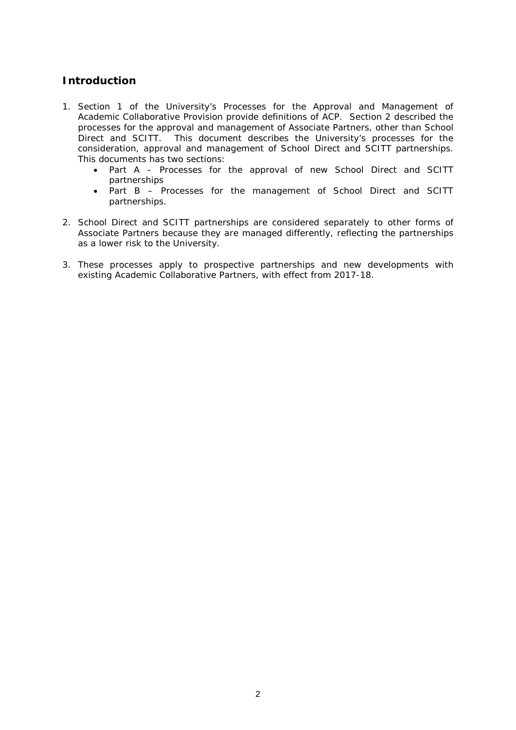# **Introduction**

- 1. Section 1 of the University's Processes for the Approval and Management of Academic Collaborative Provision provide definitions of ACP. Section 2 described the processes for the approval and management of Associate Partners, other than School Direct and SCITT. This document describes the University's processes for the consideration, approval and management of School Direct and SCITT partnerships. This documents has two sections:
	- Part A Processes for the approval of new School Direct and SCITT partnerships
	- Part B Processes for the management of School Direct and SCITT partnerships.
- 2. School Direct and SCITT partnerships are considered separately to other forms of Associate Partners because they are managed differently, reflecting the partnerships as a lower risk to the University.
- 3. These processes apply to prospective partnerships and new developments with existing Academic Collaborative Partners, with effect from 2017-18.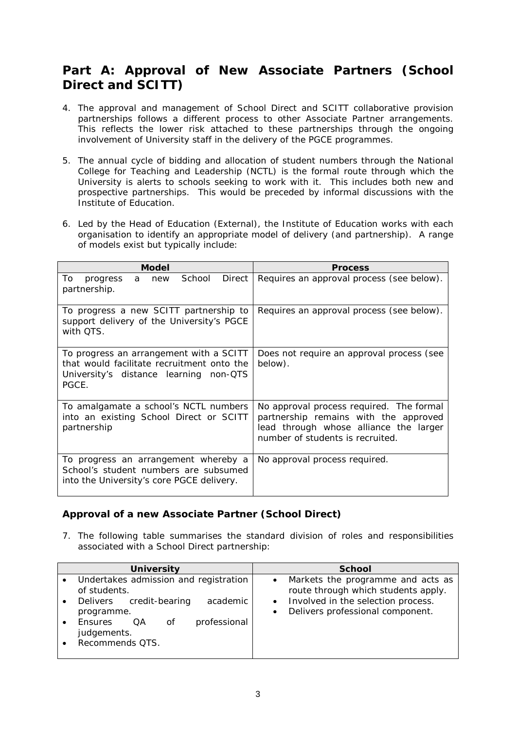# **Part A: Approval of New Associate Partners (School Direct and SCITT)**

- 4. The approval and management of School Direct and SCITT collaborative provision partnerships follows a different process to other Associate Partner arrangements. This reflects the lower risk attached to these partnerships through the ongoing involvement of University staff in the delivery of the PGCE programmes.
- 5. The annual cycle of bidding and allocation of student numbers through the National College for Teaching and Leadership (NCTL) is the formal route through which the University is alerts to schools seeking to work with it. This includes both new and prospective partnerships. This would be preceded by informal discussions with the Institute of Education.
- 6. Led by the Head of Education (External), the Institute of Education works with each organisation to identify an appropriate model of delivery (and partnership). A range of models exist but typically include:

| <b>Model</b>                                                                                                                             | <b>Process</b>                                                                                                                                                  |
|------------------------------------------------------------------------------------------------------------------------------------------|-----------------------------------------------------------------------------------------------------------------------------------------------------------------|
| Direct<br>School<br>To<br>progress<br>new<br>a<br>partnership.                                                                           | Requires an approval process (see below).                                                                                                                       |
| To progress a new SCITT partnership to<br>support delivery of the University's PGCE<br>with OTS.                                         | Requires an approval process (see below).                                                                                                                       |
| To progress an arrangement with a SCITT<br>that would facilitate recruitment onto the<br>University's distance learning non-QTS<br>PGCE. | Does not require an approval process (see<br>below).                                                                                                            |
| To amalgamate a school's NCTL numbers<br>into an existing School Direct or SCITT<br>partnership                                          | No approval process required. The formal<br>partnership remains with the approved<br>lead through whose alliance the larger<br>number of students is recruited. |
| To progress an arrangement whereby a<br>School's student numbers are subsumed<br>into the University's core PGCE delivery.               | No approval process required.                                                                                                                                   |

# **Approval of a new Associate Partner (School Direct)**

7. The following table summarises the standard division of roles and responsibilities associated with a School Direct partnership:

| <b>University</b>                                           | <b>School</b>                                                                       |
|-------------------------------------------------------------|-------------------------------------------------------------------------------------|
| Undertakes admission and registration<br>of students.       | Markets the programme and acts as<br>route through which students apply.            |
| academic<br>credit-bearing<br><b>Delivers</b><br>programme. | Involved in the selection process.<br>Delivers professional component.<br>$\bullet$ |
| professional<br><b>Ensures</b><br>OA<br>Οf<br>judgements.   |                                                                                     |
| Recommends QTS.                                             |                                                                                     |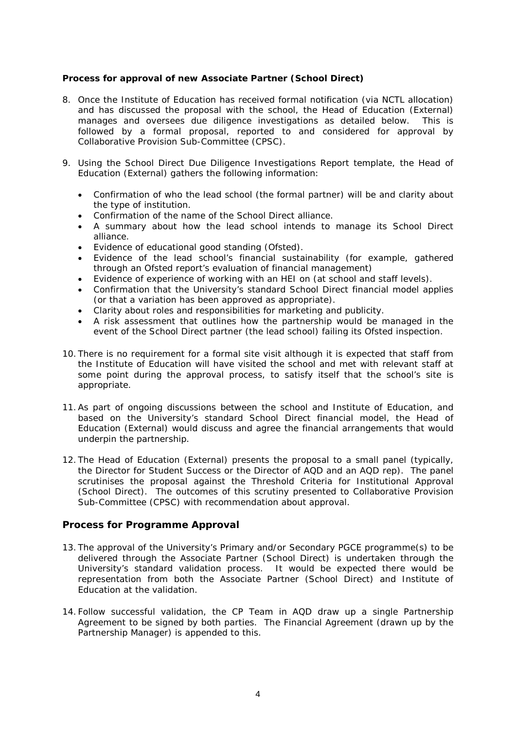## **Process for approval of new Associate Partner (School Direct)**

- 8. Once the Institute of Education has received formal notification (via NCTL allocation) and has discussed the proposal with the school, the Head of Education (External) manages and oversees due diligence investigations as detailed below. This is followed by a formal proposal, reported to and considered for approval by Collaborative Provision Sub-Committee (CPSC).
- 9. Using the School Direct Due Diligence Investigations Report template, the Head of Education (External) gathers the following information:
	- Confirmation of who the lead school (the formal partner) will be and clarity about the type of institution.
	- Confirmation of the name of the School Direct alliance.
	- A summary about how the lead school intends to manage its School Direct alliance.
	- Evidence of educational good standing (Ofsted).
	- Evidence of the lead school's financial sustainability (for example, gathered through an Ofsted report's evaluation of financial management)
	- Evidence of experience of working with an HEI on (at school and staff levels).
	- Confirmation that the University's standard School Direct financial model applies (or that a variation has been approved as appropriate).
	- Clarity about roles and responsibilities for marketing and publicity.
	- A risk assessment that outlines how the partnership would be managed in the event of the School Direct partner (the lead school) failing its Ofsted inspection.
- 10. There is no requirement for a formal site visit although it is expected that staff from the Institute of Education will have visited the school and met with relevant staff at some point during the approval process, to satisfy itself that the school's site is appropriate.
- 11.As part of ongoing discussions between the school and Institute of Education, and based on the University's standard School Direct financial model, the Head of Education (External) would discuss and agree the financial arrangements that would underpin the partnership.
- 12. The Head of Education (External) presents the proposal to a small panel (typically, the Director for Student Success or the Director of AQD and an AQD rep). The panel scrutinises the proposal against the Threshold Criteria for Institutional Approval (School Direct). The outcomes of this scrutiny presented to Collaborative Provision Sub-Committee (CPSC) with recommendation about approval.

# **Process for Programme Approval**

- 13. The approval of the University's Primary and/or Secondary PGCE programme(s) to be delivered through the Associate Partner (School Direct) is undertaken through the University's standard validation process. It would be expected there would be representation from both the Associate Partner (School Direct) and Institute of Education at the validation.
- 14. Follow successful validation, the CP Team in AQD draw up a single Partnership Agreement to be signed by both parties. The Financial Agreement (drawn up by the Partnership Manager) is appended to this.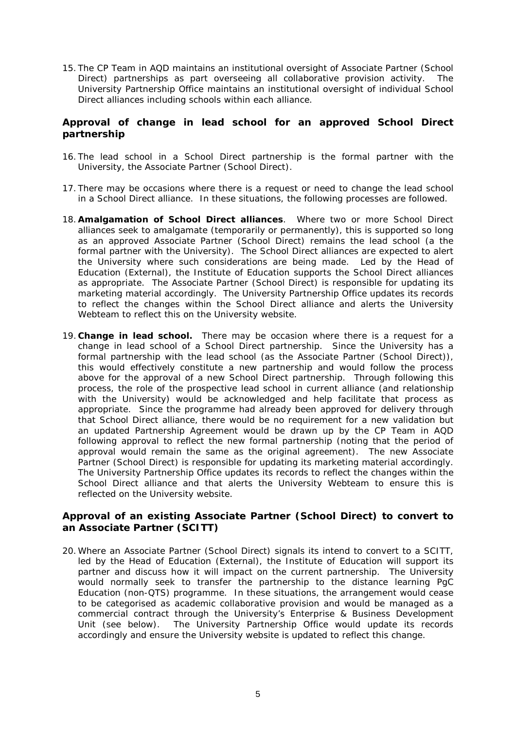15. The CP Team in AQD maintains an institutional oversight of Associate Partner (School Direct) partnerships as part overseeing all collaborative provision activity. The University Partnership Office maintains an institutional oversight of individual School Direct alliances including schools within each alliance.

# **Approval of change in lead school for an approved School Direct partnership**

- 16. The lead school in a School Direct partnership is the formal partner with the University, the Associate Partner (School Direct).
- 17. There may be occasions where there is a request or need to change the lead school in a School Direct alliance. In these situations, the following processes are followed.
- 18. **Amalgamation of School Direct alliances**. Where two or more School Direct alliances seek to amalgamate (temporarily or permanently), this is supported so long as an approved Associate Partner (School Direct) remains the lead school (a the formal partner with the University). The School Direct alliances are expected to alert the University where such considerations are being made. Led by the Head of Education (External), the Institute of Education supports the School Direct alliances as appropriate. The Associate Partner (School Direct) is responsible for updating its marketing material accordingly. The University Partnership Office updates its records to reflect the changes within the School Direct alliance and alerts the University Webteam to reflect this on the University website.
- 19. **Change in lead school.** There may be occasion where there is a request for a change in lead school of a School Direct partnership. Since the University has a formal partnership with the lead school (as the Associate Partner (School Direct)), this would effectively constitute a new partnership and would follow the process above for the approval of a new School Direct partnership. Through following this process, the role of the prospective lead school in current alliance (and relationship with the University) would be acknowledged and help facilitate that process as appropriate. Since the programme had already been approved for delivery through that School Direct alliance, there would be no requirement for a new validation but an updated Partnership Agreement would be drawn up by the CP Team in AQD following approval to reflect the new formal partnership (noting that the period of approval would remain the same as the original agreement). The new Associate Partner (School Direct) is responsible for updating its marketing material accordingly. The University Partnership Office updates its records to reflect the changes within the School Direct alliance and that alerts the University Webteam to ensure this is reflected on the University website.

## **Approval of an existing Associate Partner (School Direct) to convert to an Associate Partner (SCITT)**

20. Where an Associate Partner (School Direct) signals its intend to convert to a SCITT, led by the Head of Education (External), the Institute of Education will support its partner and discuss how it will impact on the current partnership. The University would normally seek to transfer the partnership to the distance learning PgC Education (non-QTS) programme. In these situations, the arrangement would cease to be categorised as academic collaborative provision and would be managed as a commercial contract through the University's Enterprise & Business Development Unit (see below). The University Partnership Office would update its records accordingly and ensure the University website is updated to reflect this change.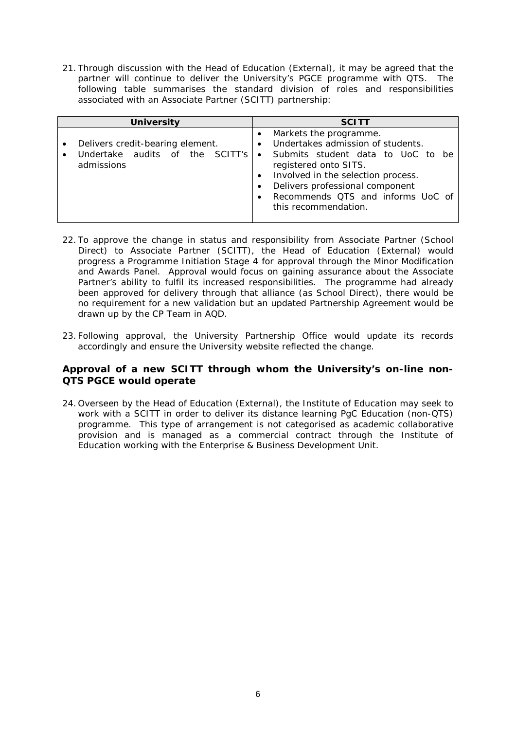21. Through discussion with the Head of Education (External), it may be agreed that the partner will continue to deliver the University's PGCE programme with QTS. The following table summarises the standard division of roles and responsibilities associated with an Associate Partner (SCITT) partnership:

| <b>University</b>                                                                 | <b>SCITT</b>                                                                                                                                                                                                                                                                                                                     |
|-----------------------------------------------------------------------------------|----------------------------------------------------------------------------------------------------------------------------------------------------------------------------------------------------------------------------------------------------------------------------------------------------------------------------------|
| Delivers credit-bearing element.<br>Undertake audits of the SCITT's<br>admissions | Markets the programme.<br>Undertakes admission of students.<br>$\bullet$<br>Submits student data to UoC to be<br>$\bullet$<br>registered onto SITS.<br>Involved in the selection process.<br>$\bullet$<br>Delivers professional component<br>$\bullet$<br>Recommends QTS and informs UoC of<br>$\bullet$<br>this recommendation. |

- 22. To approve the change in status and responsibility from Associate Partner (School Direct) to Associate Partner (SCITT), the Head of Education (External) would progress a Programme Initiation Stage 4 for approval through the Minor Modification and Awards Panel. Approval would focus on gaining assurance about the Associate Partner's ability to fulfil its increased responsibilities. The programme had already been approved for delivery through that alliance (as School Direct), there would be no requirement for a new validation but an updated Partnership Agreement would be drawn up by the CP Team in AQD.
- 23. Following approval, the University Partnership Office would update its records accordingly and ensure the University website reflected the change.

# **Approval of a new SCITT through whom the University's on-line non-QTS PGCE would operate**

24. Overseen by the Head of Education (External), the Institute of Education may seek to work with a SCITT in order to deliver its distance learning PgC Education (non-QTS) programme. This type of arrangement is not categorised as academic collaborative provision and is managed as a commercial contract through the Institute of Education working with the Enterprise & Business Development Unit.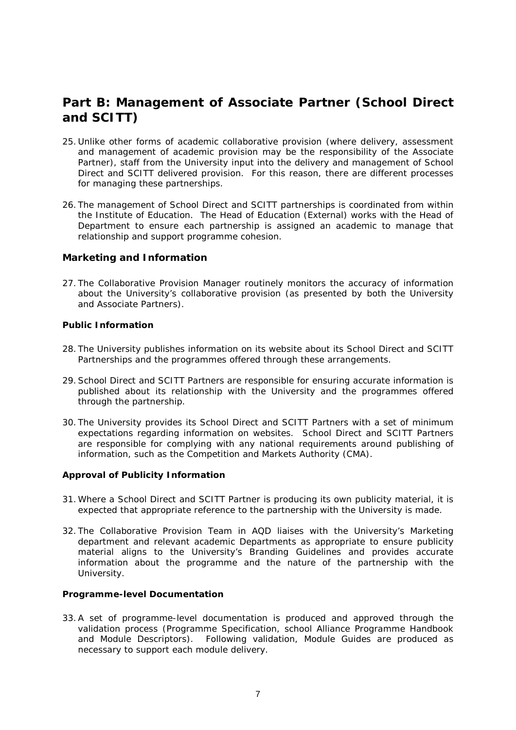# **Part B: Management of Associate Partner (School Direct and SCITT)**

- 25. Unlike other forms of academic collaborative provision (where delivery, assessment and management of academic provision may be the responsibility of the Associate Partner), staff from the University input into the delivery and management of School Direct and SCITT delivered provision. For this reason, there are different processes for managing these partnerships.
- 26. The management of School Direct and SCITT partnerships is coordinated from within the Institute of Education. The Head of Education (External) works with the Head of Department to ensure each partnership is assigned an academic to manage that relationship and support programme cohesion.

# **Marketing and Information**

27. The Collaborative Provision Manager routinely monitors the accuracy of information about the University's collaborative provision (as presented by both the University and Associate Partners).

## **Public Information**

- 28. The University publishes information on its website about its School Direct and SCITT Partnerships and the programmes offered through these arrangements.
- 29.School Direct and SCITT Partners are responsible for ensuring accurate information is published about its relationship with the University and the programmes offered through the partnership.
- 30. The University provides its School Direct and SCITT Partners with a set of minimum expectations regarding information on websites. School Direct and SCITT Partners are responsible for complying with any national requirements around publishing of information, such as the Competition and Markets Authority (CMA).

## **Approval of Publicity Information**

- 31. Where a School Direct and SCITT Partner is producing its own publicity material, it is expected that appropriate reference to the partnership with the University is made.
- 32. The Collaborative Provision Team in AQD liaises with the University's Marketing department and relevant academic Departments as appropriate to ensure publicity material aligns to the University's Branding Guidelines and provides accurate information about the programme and the nature of the partnership with the University.

## **Programme-level Documentation**

33.A set of programme-level documentation is produced and approved through the validation process (Programme Specification, school Alliance Programme Handbook and Module Descriptors). Following validation, Module Guides are produced as necessary to support each module delivery.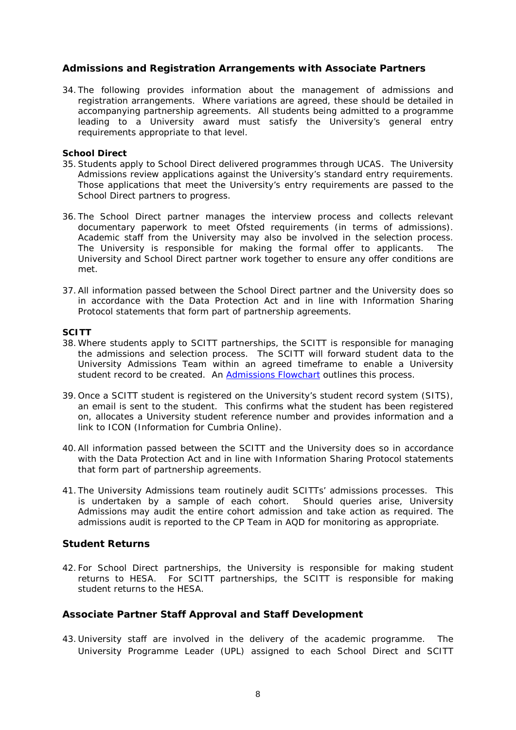## **Admissions and Registration Arrangements with Associate Partners**

34. The following provides information about the management of admissions and registration arrangements. Where variations are agreed, these should be detailed in accompanying partnership agreements. All students being admitted to a programme leading to a University award must satisfy the University's general entry requirements appropriate to that level.

#### **School Direct**

- 35.Students apply to School Direct delivered programmes through UCAS. The University Admissions review applications against the University's standard entry requirements. Those applications that meet the University's entry requirements are passed to the School Direct partners to progress.
- 36. The School Direct partner manages the interview process and collects relevant documentary paperwork to meet Ofsted requirements (in terms of admissions). Academic staff from the University may also be involved in the selection process. The University is responsible for making the formal offer to applicants. The University and School Direct partner work together to ensure any offer conditions are met.
- 37.All information passed between the School Direct partner and the University does so in accordance with the Data Protection Act and in line with Information Sharing Protocol statements that form part of partnership agreements.

#### **SCITT**

- 38. Where students apply to SCITT partnerships, the SCITT is responsible for managing the admissions and selection process. The SCITT will forward student data to the University Admissions Team within an agreed timeframe to enable a University student record to be created. An [Admissions Flowchart](https://unicumbriaac.sharepoint.com/sites/CL/CorporateLibrary/Admissions%20Flowchart%20for%20Standard%20Communications%20Between%20University%20and%20Associate%20Partners.pdf) outlines this process.
- 39. Once a SCITT student is registered on the University's student record system (SITS), an email is sent to the student. This confirms what the student has been registered on, allocates a University student reference number and provides information and a link to ICON (Information for Cumbria Online).
- 40.All information passed between the SCITT and the University does so in accordance with the Data Protection Act and in line with Information Sharing Protocol statements that form part of partnership agreements.
- 41. The University Admissions team routinely audit SCITTs' admissions processes. This is undertaken by a sample of each cohort. Should queries arise, University Admissions may audit the entire cohort admission and take action as required. The admissions audit is reported to the CP Team in AQD for monitoring as appropriate.

## **Student Returns**

42. For School Direct partnerships, the University is responsible for making student returns to HESA. For SCITT partnerships, the SCITT is responsible for making student returns to the HESA.

# **Associate Partner Staff Approval and Staff Development**

43. University staff are involved in the delivery of the academic programme. The University Programme Leader (UPL) assigned to each School Direct and SCITT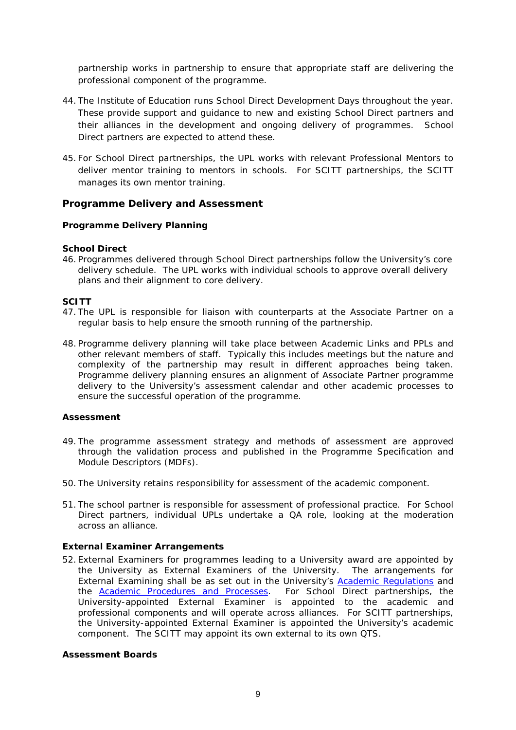partnership works in partnership to ensure that appropriate staff are delivering the professional component of the programme.

- 44. The Institute of Education runs School Direct Development Days throughout the year. These provide support and guidance to new and existing School Direct partners and their alliances in the development and ongoing delivery of programmes. School Direct partners are expected to attend these.
- 45. For School Direct partnerships, the UPL works with relevant Professional Mentors to deliver mentor training to mentors in schools. For SCITT partnerships, the SCITT manages its own mentor training.

## **Programme Delivery and Assessment**

## **Programme Delivery Planning**

#### **School Direct**

46. Programmes delivered through School Direct partnerships follow the University's core delivery schedule. The UPL works with individual schools to approve overall delivery plans and their alignment to core delivery.

#### **SCITT**

- 47. The UPL is responsible for liaison with counterparts at the Associate Partner on a regular basis to help ensure the smooth running of the partnership.
- 48. Programme delivery planning will take place between Academic Links and PPLs and other relevant members of staff. Typically this includes meetings but the nature and complexity of the partnership may result in different approaches being taken. Programme delivery planning ensures an alignment of Associate Partner programme delivery to the University's assessment calendar and other academic processes to ensure the successful operation of the programme.

## **Assessment**

- 49. The programme assessment strategy and methods of assessment are approved through the validation process and published in the Programme Specification and Module Descriptors (MDFs).
- 50. The University retains responsibility for assessment of the academic component.
- 51. The school partner is responsible for assessment of professional practice. For School Direct partners, individual UPLs undertake a QA role, looking at the moderation across an alliance.

## **External Examiner Arrangements**

52. External Examiners for programmes leading to a University award are appointed by the University as External Examiners of the University. The arrangements for External Examining shall be as set out in the University's [Academic Regulations](https://unicumbriaac.sharepoint.com/sites/CL/CorporateLibrary/Academic%20Regulations.pdf) and the [Academic Procedures and Processes.](https://unicumbriaac.sharepoint.com/sites/CL/CorporateLibrary/Academic%20Regulations.aspx) For School Direct partnerships, the University-appointed External Examiner is appointed to the academic and professional components and will operate across alliances. For SCITT partnerships, the University-appointed External Examiner is appointed the University's academic component. The SCITT may appoint its own external to its own QTS.

#### **Assessment Boards**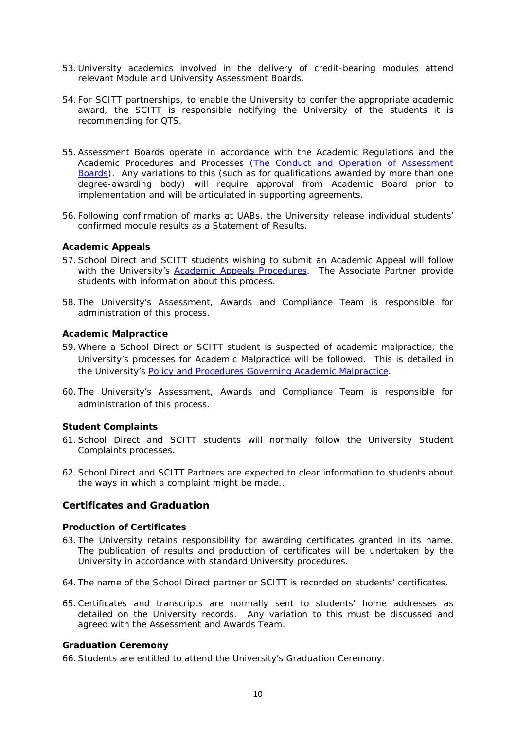- 53. University academics involved in the delivery of credit-bearing modules attend relevant Module and University Assessment Boards.
- 54. For SCITT partnerships, to enable the University to confer the appropriate academic award, the SCITT is responsible notifying the University of the students it is recommending for QTS.
- 55.Assessment Boards operate in accordance with the Academic Regulations and the Academic Procedures and Processes [\(The Conduct and Operation of Assessment](https://unicumbriaac.sharepoint.com/sites/CL/CorporateLibrary/Academic%20Regulations%20-%20Appendix%203f.pdf)  [Boards\)](https://unicumbriaac.sharepoint.com/sites/CL/CorporateLibrary/Academic%20Regulations%20-%20Appendix%203f.pdf). Any variations to this (such as for qualifications awarded by more than one degree-awarding body) will require approval from Academic Board prior to implementation and will be articulated in supporting agreements.
- 56. Following confirmation of marks at UABs, the University release individual students' confirmed module results as a Statement of Results.

#### **Academic Appeals**

- 57.School Direct and SCITT students wishing to submit an Academic Appeal will follow with the University's [Academic Appeals Procedures.](https://unicumbriaac.sharepoint.com/sites/CL/CorporateLibrary/Academic%20Regulations%20-%20Appendix%205.pdf) The Associate Partner provide students with information about this process.
- 58. The University's Assessment, Awards and Compliance Team is responsible for administration of this process.

#### **Academic Malpractice**

- 59. Where a School Direct or SCITT student is suspected of academic malpractice, the University's processes for Academic Malpractice will be followed. This is detailed in the University's [Policy and Procedures Governing Academic Malpractice.](https://unicumbriaac.sharepoint.com/sites/CL/CorporateLibrary/Academic%20Regulations%20-%20Appendix%203d.pdf)
- 60. The University's Assessment, Awards and Compliance Team is responsible for administration of this process.

#### **Student Complaints**

- 61.School Direct and SCITT students will normally follow the University Student Complaints processes.
- 62.School Direct and SCITT Partners are expected to clear information to students about the ways in which a complaint might be made..

## **Certificates and Graduation**

#### **Production of Certificates**

- 63. The University retains responsibility for awarding certificates granted in its name. The publication of results and production of certificates will be undertaken by the University in accordance with standard University procedures.
- 64. The name of the School Direct partner or SCITT is recorded on students' certificates.
- 65.Certificates and transcripts are normally sent to students' home addresses as detailed on the University records. Any variation to this must be discussed and agreed with the Assessment and Awards Team.

#### **Graduation Ceremony**

66.Students are entitled to attend the University's Graduation Ceremony.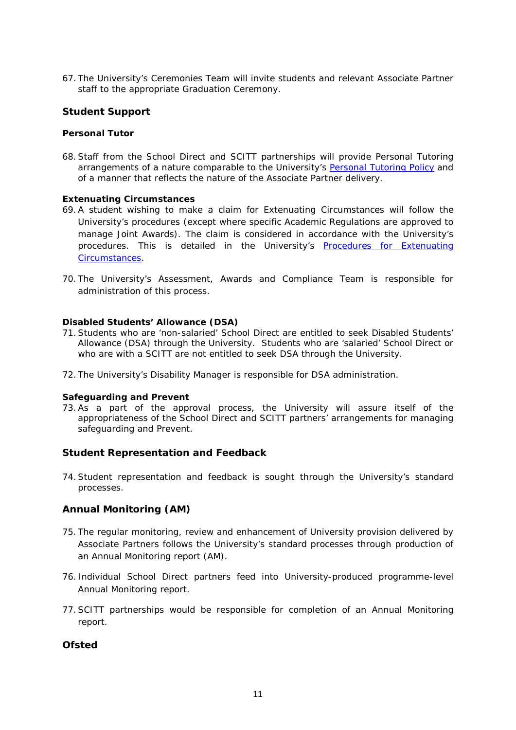67. The University's Ceremonies Team will invite students and relevant Associate Partner staff to the appropriate Graduation Ceremony.

# **Student Support**

## **Personal Tutor**

68.Staff from the School Direct and SCITT partnerships will provide Personal Tutoring arrangements of a nature comparable to the University's [Personal Tutoring Policy](https://unicumbriaac.sharepoint.com/sites/CL/CorporateLibrary/Personal%20Tutoring%20Policy%20(Taught%20Programmes).pdf) and of a manner that reflects the nature of the Associate Partner delivery.

## **Extenuating Circumstances**

- 69.A student wishing to make a claim for Extenuating Circumstances will follow the University's procedures (except where specific Academic Regulations are approved to manage Joint Awards). The claim is considered in accordance with the University's procedures. This is detailed in the University's [Procedures for Extenuating](https://unicumbriaac.sharepoint.com/sites/CL/CorporateLibrary/Academic%20Regulations%20-%20Appendix%203e.pdf)  [Circumstances.](https://unicumbriaac.sharepoint.com/sites/CL/CorporateLibrary/Academic%20Regulations%20-%20Appendix%203e.pdf)
- 70. The University's Assessment, Awards and Compliance Team is responsible for administration of this process.

## **Disabled Students' Allowance (DSA)**

- 71.Students who are 'non-salaried' School Direct are entitled to seek Disabled Students' Allowance (DSA) through the University. Students who are 'salaried' School Direct or who are with a SCITT are not entitled to seek DSA through the University.
- 72. The University's Disability Manager is responsible for DSA administration.

## **Safeguarding and Prevent**

73.As a part of the approval process, the University will assure itself of the appropriateness of the School Direct and SCITT partners' arrangements for managing safeguarding and Prevent.

# **Student Representation and Feedback**

74.Student representation and feedback is sought through the University's standard processes.

# **Annual Monitoring (AM)**

- 75. The regular monitoring, review and enhancement of University provision delivered by Associate Partners follows the University's standard processes through production of an Annual Monitoring report (AM).
- 76. Individual School Direct partners feed into University-produced programme-level Annual Monitoring report.
- 77.SCITT partnerships would be responsible for completion of an Annual Monitoring report.

# **Ofsted**